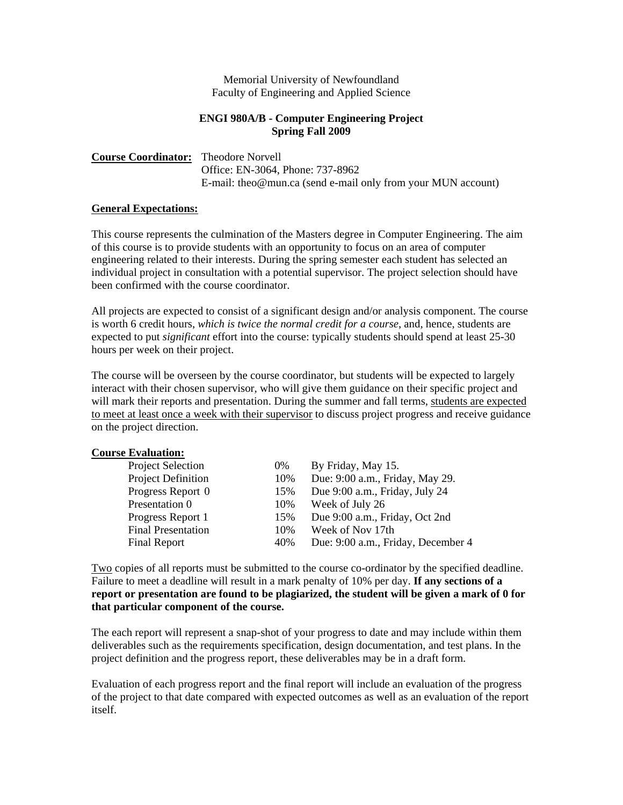#### Memorial University of Newfoundland Faculty of Engineering and Applied Science

## **ENGI 980A/B - Computer Engineering Project Spring Fall 2009**

## **Course Coordinator:** Theodore Norvell Office: EN-3064, Phone: 737-8962 E-mail: theo@mun.ca (send e-mail only from your MUN account)

#### **General Expectations:**

This course represents the culmination of the Masters degree in Computer Engineering. The aim of this course is to provide students with an opportunity to focus on an area of computer engineering related to their interests. During the spring semester each student has selected an individual project in consultation with a potential supervisor. The project selection should have been confirmed with the course coordinator.

All projects are expected to consist of a significant design and/or analysis component. The course is worth 6 credit hours, *which is twice the normal credit for a course*, and, hence, students are expected to put *significant* effort into the course: typically students should spend at least 25-30 hours per week on their project.

The course will be overseen by the course coordinator, but students will be expected to largely interact with their chosen supervisor, who will give them guidance on their specific project and will mark their reports and presentation. During the summer and fall terms, students are expected to meet at least once a week with their supervisor to discuss project progress and receive guidance on the project direction.

| <b>Course Evaluation:</b> |     |                                    |
|---------------------------|-----|------------------------------------|
| Project Selection         | 0%  | By Friday, May 15.                 |
| Project Definition        | 10% | Due: 9:00 a.m., Friday, May 29.    |
| Progress Report 0         | 15% | Due 9:00 a.m., Friday, July 24     |
| Presentation 0            | 10% | Week of July 26                    |
| Progress Report 1         | 15% | Due 9:00 a.m., Friday, Oct 2nd     |
| <b>Final Presentation</b> | 10% | Week of Nov 17th                   |
| <b>Final Report</b>       | 40% | Due: 9:00 a.m., Friday, December 4 |
|                           |     |                                    |

Two copies of all reports must be submitted to the course co-ordinator by the specified deadline. Failure to meet a deadline will result in a mark penalty of 10% per day. **If any sections of a report or presentation are found to be plagiarized, the student will be given a mark of 0 for that particular component of the course.**

The each report will represent a snap-shot of your progress to date and may include within them deliverables such as the requirements specification, design documentation, and test plans. In the project definition and the progress report, these deliverables may be in a draft form.

Evaluation of each progress report and the final report will include an evaluation of the progress of the project to that date compared with expected outcomes as well as an evaluation of the report itself.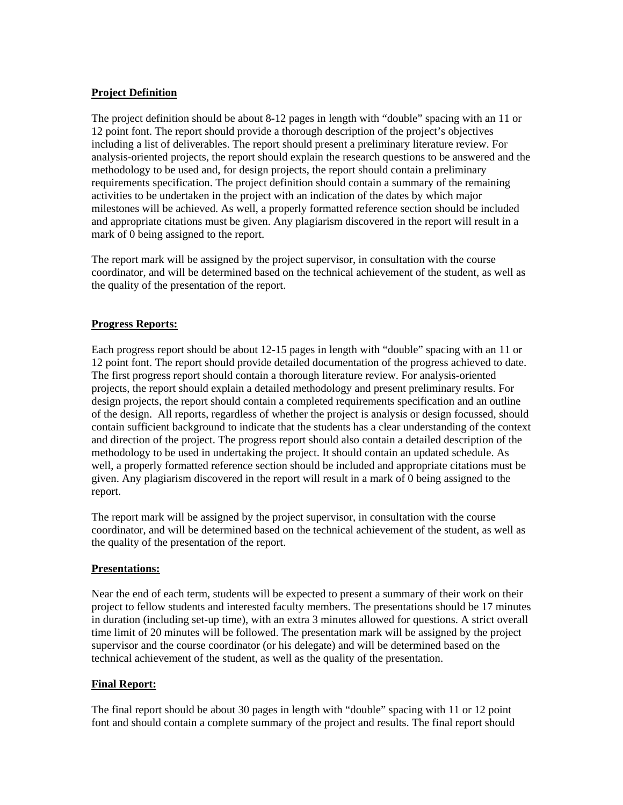# **Project Definition**

The project definition should be about 8-12 pages in length with "double" spacing with an 11 or 12 point font. The report should provide a thorough description of the project's objectives including a list of deliverables. The report should present a preliminary literature review. For analysis-oriented projects, the report should explain the research questions to be answered and the methodology to be used and, for design projects, the report should contain a preliminary requirements specification. The project definition should contain a summary of the remaining activities to be undertaken in the project with an indication of the dates by which major milestones will be achieved. As well, a properly formatted reference section should be included and appropriate citations must be given. Any plagiarism discovered in the report will result in a mark of 0 being assigned to the report.

The report mark will be assigned by the project supervisor, in consultation with the course coordinator, and will be determined based on the technical achievement of the student, as well as the quality of the presentation of the report.

# **Progress Reports:**

Each progress report should be about 12-15 pages in length with "double" spacing with an 11 or 12 point font. The report should provide detailed documentation of the progress achieved to date. The first progress report should contain a thorough literature review. For analysis-oriented projects, the report should explain a detailed methodology and present preliminary results. For design projects, the report should contain a completed requirements specification and an outline of the design. All reports, regardless of whether the project is analysis or design focussed, should contain sufficient background to indicate that the students has a clear understanding of the context and direction of the project. The progress report should also contain a detailed description of the methodology to be used in undertaking the project. It should contain an updated schedule. As well, a properly formatted reference section should be included and appropriate citations must be given. Any plagiarism discovered in the report will result in a mark of 0 being assigned to the report.

The report mark will be assigned by the project supervisor, in consultation with the course coordinator, and will be determined based on the technical achievement of the student, as well as the quality of the presentation of the report.

## **Presentations:**

Near the end of each term, students will be expected to present a summary of their work on their project to fellow students and interested faculty members. The presentations should be 17 minutes in duration (including set-up time), with an extra 3 minutes allowed for questions. A strict overall time limit of 20 minutes will be followed. The presentation mark will be assigned by the project supervisor and the course coordinator (or his delegate) and will be determined based on the technical achievement of the student, as well as the quality of the presentation.

## **Final Report:**

The final report should be about 30 pages in length with "double" spacing with 11 or 12 point font and should contain a complete summary of the project and results. The final report should